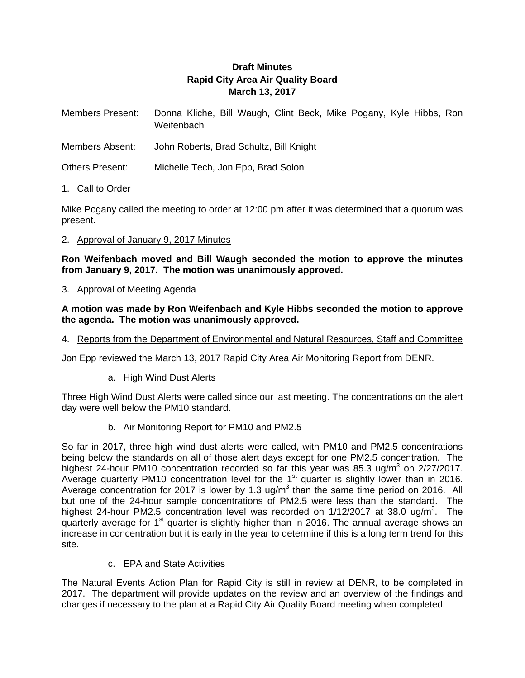# **Draft Minutes Rapid City Area Air Quality Board March 13, 2017**

| <b>Members Present:</b> | Donna Kliche, Bill Waugh, Clint Beck, Mike Pogany, Kyle Hibbs, Ron |  |  |  |  |  |
|-------------------------|--------------------------------------------------------------------|--|--|--|--|--|
|                         | Weifenbach                                                         |  |  |  |  |  |

- Members Absent: John Roberts, Brad Schultz, Bill Knight
- Others Present: Michelle Tech, Jon Epp, Brad Solon
- 1. Call to Order

Mike Pogany called the meeting to order at 12:00 pm after it was determined that a quorum was present.

## 2. Approval of January 9, 2017 Minutes

**Ron Weifenbach moved and Bill Waugh seconded the motion to approve the minutes from January 9, 2017. The motion was unanimously approved.** 

3. Approval of Meeting Agenda

**A motion was made by Ron Weifenbach and Kyle Hibbs seconded the motion to approve the agenda. The motion was unanimously approved.** 

4. Reports from the Department of Environmental and Natural Resources, Staff and Committee

Jon Epp reviewed the March 13, 2017 Rapid City Area Air Monitoring Report from DENR.

a. High Wind Dust Alerts

Three High Wind Dust Alerts were called since our last meeting. The concentrations on the alert day were well below the PM10 standard.

b. Air Monitoring Report for PM10 and PM2.5

So far in 2017, three high wind dust alerts were called, with PM10 and PM2.5 concentrations being below the standards on all of those alert days except for one PM2.5 concentration. The highest 24-hour PM10 concentration recorded so far this year was 85.3 ug/m<sup>3</sup> on 2/27/2017. Average quarterly PM10 concentration level for the  $1<sup>st</sup>$  quarter is slightly lower than in 2016. Average concentration for 2017 is lower by 1.3 ug/m<sup>3</sup> than the same time period on 2016. All but one of the 24-hour sample concentrations of PM2.5 were less than the standard. The highest 24-hour PM2.5 concentration level was recorded on  $1/12/2017$  at 38.0 ug/m<sup>3</sup>. The quarterly average for 1<sup>st</sup> quarter is slightly higher than in 2016. The annual average shows an increase in concentration but it is early in the year to determine if this is a long term trend for this site.

c. EPA and State Activities

The Natural Events Action Plan for Rapid City is still in review at DENR, to be completed in 2017. The department will provide updates on the review and an overview of the findings and changes if necessary to the plan at a Rapid City Air Quality Board meeting when completed.